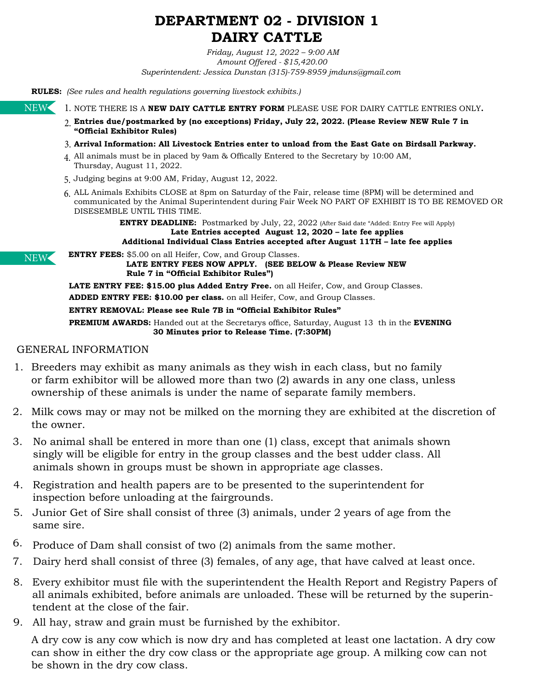# **DEPARTMENT 02 - DIVISION 1 DAIRY CATTLE**

*Friday, August 12, 2022 – 9:00 AM Amount Offered - \$15,420.00 Superintendent: Jessica Dunstan (315)-759-8959 jmduns@gmail.com*

**RULES:** *(See rules and health regulations governing livestock exhibits.)* 

NEW

1. NOTE THERE IS A **NEW DAIY CATTLE ENTRY FORM** PLEASE USE FOR DAIRY CATTLE ENTRIES ONLY.

- **Entries due/postmarked by (no exceptions) Friday, July 22, 2022. (Please Review NEW Rule 7 in** 2. **"Official Exhibitor Rules)**
- **Arrival Information: All Livestock Entries enter to unload from the East Gate on Birdsall Parkway.** 3.
- All animals must be in placed by 9am & Offically Entered to the Secretary by 10:00 AM, 4. Thursday, August 11, 2022.
- Judging begins at 9:00 AM, Friday, August 12, 2022. 5.
- ALL Animals Exhibits CLOSE at 8pm on Saturday of the Fair, release time (8PM) will be determined and 6. communicated by the Animal Superintendent during Fair Week NO PART OF EXHIBIT IS TO BE REMOVED OR DISESEMBLE UNTIL THIS TIME.

**ENTRY DEADLINE:** Postmarked by July, 22, 2022 (After Said date "Added: Entry Fee will Apply) **Late Entries accepted August 12, 2020 – late fee applies Additional Individual Class Entries accepted after August 11TH – late fee applies**

NEW

**ENTRY FEES:** \$5.00 on all Heifer, Cow, and Group Classes.  **LATE ENTRY FEES NOW APPLY. (SEE BELOW & Please Review NEW Rule 7 in "Official Exhibitor Rules")**

**LATE ENTRY FEE: \$15.00 plus Added Entry Free.** on all Heifer, Cow, and Group Classes. **ADDED ENTRY FEE: \$10.00 per class.** on all Heifer, Cow, and Group Classes.

**ENTRY REMOVAL: Please see Rule 7B in "Official Exhibitor Rules"**

**PREMIUM AWARDS:** Handed out at the Secretarys office, Saturday, August 13 th in the **EVENING 30 Minutes prior to Release Time. (7:30PM)**

### GENERAL INFORMATION

- 1. Breeders may exhibit as many animals as they wish in each class, but no family or farm exhibitor will be allowed more than two (2) awards in any one class, unless ownership of these animals is under the name of separate family members.
- Milk cows may or may not be milked on the morning they are exhibited at the discretion of 2. the owner.
- 3. No animal shall be entered in more than one (1) class, except that animals shown singly will be eligible for entry in the group classes and the best udder class. All animals shown in groups must be shown in appropriate age classes.
- 4. Registration and health papers are to be presented to the superintendent for inspection before unloading at the fairgrounds.
- 5. Junior Get of Sire shall consist of three (3) animals, under 2 years of age from the same sire.
- 6. Produce of Dam shall consist of two  $(2)$  animals from the same mother.
- Dairy herd shall consist of three (3) females, of any age, that have calved at least once. 7.
- Every exhibitor must file with the superintendent the Health Report and Registry Papers of 8. all animals exhibited, before animals are unloaded. These will be returned by the superintendent at the close of the fair.
- All hay, straw and grain must be furnished by the exhibitor. 9.

A dry cow is any cow which is now dry and has completed at least one lactation. A dry cow can show in either the dry cow class or the appropriate age group. A milking cow can not be shown in the dry cow class.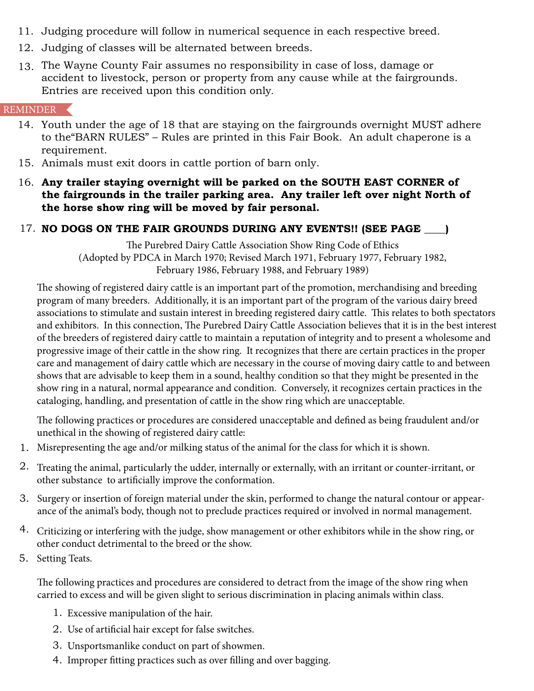- 11. Judging procedure will follow in numerical sequence in each respective breed.
- 12. Judging of classes will be alternated between breeds.
- 13. The Wayne County Fair assumes no responsibility in case of loss, damage or accident to livestock, person or property from any cause while at the fairgrounds. Entries are received upon this condition only.

## REMINDER

- 14. Youth under the age of 18 that are staying on the fairgrounds overnight MUST adhere to the"BARN RULES" – Rules are printed in this Fair Book. An adult chaperone is a requirement.
- 15. Animals must exit doors in cattle portion of barn only.
- **Any trailer staying overnight will be parked on the SOUTH EAST CORNER of** 16. **the fairgrounds in the trailer parking area. Any trailer left over night North of the horse show ring will be moved by fair personal.**

# **NO DOGS ON THE FAIR GROUNDS DURING ANY EVENTS!! (SEE PAGE \_\_\_\_)** 17.

The Purebred Dairy Cattle Association Show Ring Code of Ethics (Adopted by PDCA in March 1970; Revised March 1971, February 1977, February 1982, February 1986, February 1988, and February 1989)

The showing of registered dairy cattle is an important part of the promotion, merchandising and breeding program of many breeders. Additionally, it is an important part of the program of the various dairy breed associations to stimulate and sustain interest in breeding registered dairy cattle. This relates to both spectators and exhibitors. In this connection, The Purebred Dairy Cattle Association believes that it is in the best interest of the breeders of registered dairy cattle to maintain a reputation of integrity and to present a wholesome and progressive image of their cattle in the show ring. It recognizes that there are certain practices in the proper care and management of dairy cattle which are necessary in the course of moving dairy cattle to and between shows that are advisable to keep them in a sound, healthy condition so that they might be presented in the show ring in a natural, normal appearance and condition. Conversely, it recognizes certain practices in the cataloging, handling, and presentation of cattle in the show ring which are unacceptable.

The following practices or procedures are considered unacceptable and defined as being fraudulent and/or unethical in the showing of registered dairy cattle:

- Misrepresenting the age and/or milking status of the animal for the class for which it is shown. 1.
- $2\cdot$  Treating the animal, particularly the udder, internally or externally, with an irritant or counter-irritant, or other substance to artificially improve the conformation.
- 3. Surgery or insertion of foreign material under the skin, performed to change the natural contour or appearance of the animal's body, though not to preclude practices required or involved in normal management.
- Criticizing or interfering with the judge, show management or other exhibitors while in the show ring, or 4. other conduct detrimental to the breed or the show.
- 5. Setting Teats.

The following practices and procedures are considered to detract from the image of the show ring when carried to excess and will be given slight to serious discrimination in placing animals within class.

- Excessive manipulation of the hair. 1.
- 2. Use of artificial hair except for false switches.
- Unsportsmanlike conduct on part of showmen. 3.
- 4. Improper fitting practices such as over filling and over bagging.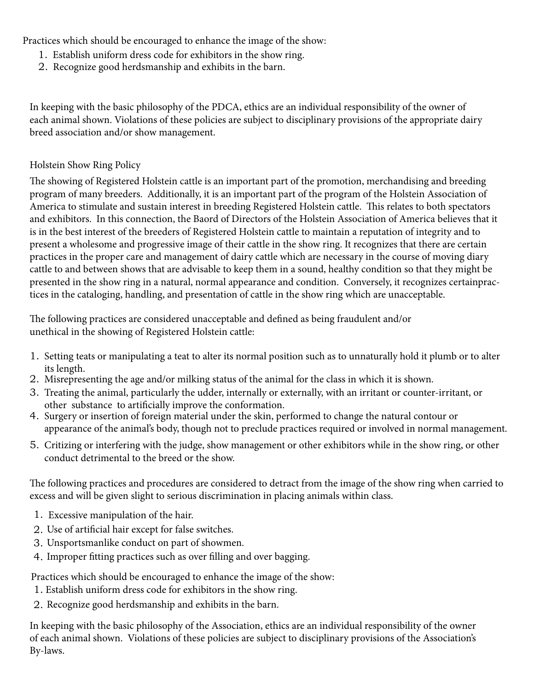Practices which should be encouraged to enhance the image of the show:

- Establish uniform dress code for exhibitors in the show ring. 1.
- 2. Recognize good herdsmanship and exhibits in the barn.

In keeping with the basic philosophy of the PDCA, ethics are an individual responsibility of the owner of each animal shown. Violations of these policies are subject to disciplinary provisions of the appropriate dairy breed association and/or show management.

## Holstein Show Ring Policy

The showing of Registered Holstein cattle is an important part of the promotion, merchandising and breeding program of many breeders. Additionally, it is an important part of the program of the Holstein Association of America to stimulate and sustain interest in breeding Registered Holstein cattle. This relates to both spectators and exhibitors. In this connection, the Baord of Directors of the Holstein Association of America believes that it is in the best interest of the breeders of Registered Holstein cattle to maintain a reputation of integrity and to present a wholesome and progressive image of their cattle in the show ring. It recognizes that there are certain practices in the proper care and management of dairy cattle which are necessary in the course of moving diary cattle to and between shows that are advisable to keep them in a sound, healthy condition so that they might be presented in the show ring in a natural, normal appearance and condition. Conversely, it recognizes certainpractices in the cataloging, handling, and presentation of cattle in the show ring which are unacceptable.

The following practices are considered unacceptable and defined as being fraudulent and/or unethical in the showing of Registered Holstein cattle:

- 1. Setting teats or manipulating a teat to alter its normal position such as to unnaturally hold it plumb or to alter its length.
- Misrepresenting the age and/or milking status of the animal for the class in which it is shown. 2.
- Treating the animal, particularly the udder, internally or externally, with an irritant or counter-irritant, or 3. other substance to artificially improve the conformation.
- 4. Surgery or insertion of foreign material under the skin, performed to change the natural contour or appearance of the animal's body, though not to preclude practices required or involved in normal management.
- 5. Critizing or interfering with the judge, show management or other exhibitors while in the show ring, or other conduct detrimental to the breed or the show.

The following practices and procedures are considered to detract from the image of the show ring when carried to excess and will be given slight to serious discrimination in placing animals within class.

- Excessive manipulation of the hair. 1.
- Use of artificial hair except for false switches. 2.
- Unsportsmanlike conduct on part of showmen. 3.
- 4. Improper fitting practices such as over filling and over bagging.

Practices which should be encouraged to enhance the image of the show:

- Establish uniform dress code for exhibitors in the show ring. 1.
- 2. Recognize good herdsmanship and exhibits in the barn.

In keeping with the basic philosophy of the Association, ethics are an individual responsibility of the owner of each animal shown. Violations of these policies are subject to disciplinary provisions of the Association's By-laws.